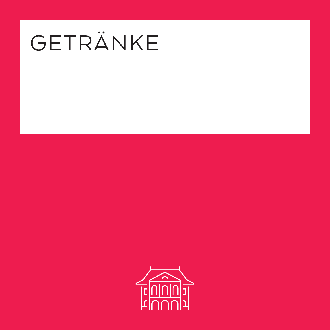# GETRÄNKE

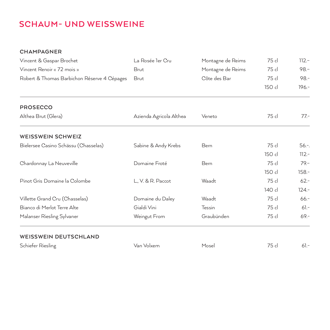## **SCHAUM- UND WEISSWEINE**

#### **CHAMPAGNER**

| Vincent & Gaspar Brochet                    | La Rosée ler Cru        | Montagne de Reims | 75 cl  | $112 -$   |
|---------------------------------------------|-------------------------|-------------------|--------|-----------|
| Vincent Renoir « 72 mois »                  | <b>Brut</b>             | Montagne de Reims | 75 cl  | $98 -$    |
| Robert & Thomas Barbichon Réserve 4 Cépages | Brut                    | Côte des Bar      | 75 cl  | $98 -$    |
|                                             |                         |                   | 150 cl | $196 -$   |
| <b>PROSECCO</b>                             |                         |                   |        |           |
| Althea Brut (Glera)                         | Azienda Agricola Althea | Veneto            | 75 cl  | $77 -$    |
| <b>WEISSWEIN SCHWEIZ</b>                    |                         |                   |        |           |
| Bielersee Casino Schässu (Chasselas)        | Sabine & Andy Krebs     | Bern              | 75 cl  | $56. - .$ |
|                                             |                         |                   | 150 cl | $112 -$   |
| Chardonnay La Neuveville                    | Domaine Froté           | Bern              | 75 cl  | $79 -$    |
|                                             |                         |                   | 150 cl | $158 -$   |
| Pinot Gris Domaine la Colombe               | L., V. & R. Paccot      | Waadt             | 75 cl  | $62 -$    |
|                                             |                         |                   | 140 cl | $124 -$   |
| Villette Grand Cru (Chasselas)              | Domaine du Daley        | Waadt             | 75 cl  | $66 -$    |
| Bianco di Merlot Terre Alte                 | Gialdi Vini             | Tessin            | 75 cl  | $61 -$    |
| Malanser Riesling Sylvaner                  | Weingut From            | Graubünden        | 75 cl  | $69 -$    |
| <b>WEISSWEIN DEUTSCHLAND</b>                |                         |                   |        |           |
| Schiefer Riesling                           | Van Volxem              | Mosel             | 75 cl  | $61 -$    |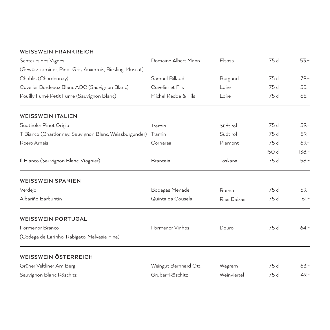#### **WEISSWEIN FRANKREICH**

| Senteurs des Vignes                                       | Domaine Albert Mann  | Elsass      | 75 cl  | $53 -$  |
|-----------------------------------------------------------|----------------------|-------------|--------|---------|
| (Gewürztraminer, Pinot Gris, Auxerrois, Riesling, Muscat) |                      |             |        |         |
| Chablis (Chardonnay)                                      | Samuel Billaud       | Burgund     | 75 cl  | $79 -$  |
| Cuvelier Bordeaux Blanc AOC (Sauvignon Blanc)             | Cuvelier et Fils     | Loire       | 75 cl  | $55 -$  |
| Pouilly Fumé Petit Fumé (Sauvignon Blanc)                 | Michel Redde & Fils  | Loire       | 75 cl  | $65 -$  |
| <b>WEISSWEIN ITALIEN</b>                                  |                      |             |        |         |
| Südtiroler Pinot Grigio                                   | Tramin               | Südtirol    | 75 cl  | $59 -$  |
| T Bianco (Chardonnay, Sauvignon Blanc, Weissburgunder)    | Tramin               | Südtirol    | 75 cl  | $59 -$  |
| Roero Arneis                                              | Cornarea             | Piemont     | 75 cl  | $69 -$  |
|                                                           |                      |             | 150 cl | $138 -$ |
| Il Bianco (Sauvignon Blanc, Viognier)                     | Brancaia             | Toskana     | 75 cl  | $58 -$  |
| <b>WEISSWEIN SPANIEN</b>                                  |                      |             |        |         |
| Verdejo                                                   | Bodegas Menade       | Rueda       | 75 cl  | $59 -$  |
| Albariño Barbuntin                                        | Quinta da Cousela    | Rias Baixas | 75 cl  | $61 -$  |
| <b>WEISSWEIN PORTUGAL</b>                                 |                      |             |        |         |
| Pormenor Branco                                           | Pormenor Vinhos      | Douro       | 75 cl  | $64 -$  |
| (Codega de Larinho, Rabigato, Malvasia Fina)              |                      |             |        |         |
| <b>WEISSWEIN ÖSTERREICH</b>                               |                      |             |        |         |
| Grüner Veltliner Am Berg                                  | Weingut Bernhard Ott | Wagram      | 75 cl  | $63 -$  |
| Sauvignon Blanc Röschitz                                  | Gruber-Röschitz      | Weinviertel | 75 cl  | $49 -$  |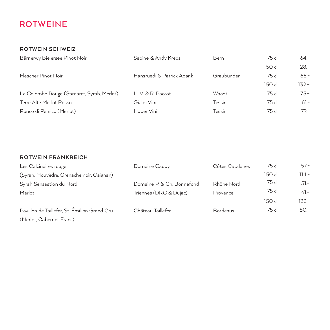## **ROTWEINE**

#### **ROTWEIN SCHWEIZ**

| Bärnerwy Bielersee Pinot Noir             | Sabine & Andy Krebs       | Bern       | 75 cl  | $64 -$  |
|-------------------------------------------|---------------------------|------------|--------|---------|
|                                           |                           |            | 150 cl | $128 -$ |
| Fläscher Pinot Noir                       | Hansruedi & Patrick Adank | Graubünden | 75 cl  | $66 -$  |
|                                           |                           |            | 150 cl | $132 -$ |
| La Colombe Rouge (Gamaret, Syrah, Merlot) | L., V. & R. Paccot        | Waadt      | 75 cl  | $75 -$  |
| Terre Alte Merlot Rosso                   | Gialdi Vini               | Tessin     | 75 cl  | $61 -$  |
| Ronco di Persico (Merlot)                 | Huber Vini                | Tessin     | 75 cl  | $79 -$  |
|                                           |                           |            |        |         |

#### **ROTWEIN FRANKREICH**

| Les Calcinaires rouge                        | Domaine Gauby              | Côtes Catalanes | 75 cl  | $57 -$  |
|----------------------------------------------|----------------------------|-----------------|--------|---------|
| (Syrah, Mouvèdre, Grenache noir, Caignan)    |                            |                 | 150 cl | $114 -$ |
| Syrah Sensastion du Nord                     | Domaine P. & Ch. Bonnefond | Rhône Nord      | 75 cl  | $51 -$  |
| Merlot                                       | Triennes (DRC & Dujac)     | Provence        | 75 cl  | $61 -$  |
|                                              |                            |                 | 150 cl | $122 -$ |
| Pavillon de Taillefer, St. Émilion Grand Cru | Château Taillefer          | Bordeaux        | 75 cl  | $80 -$  |
| (Merlot, Cabernet Franc)                     |                            |                 |        |         |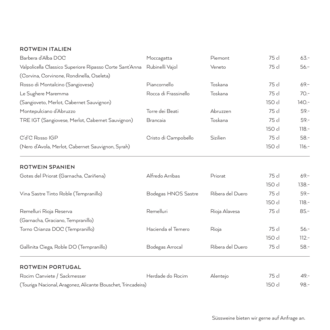#### **ROTWEIN ITALIEN**

| Barbera d'Alba DOC                                           | Moccagatta           | Piemont          | 75 cl  | $63 -$   |
|--------------------------------------------------------------|----------------------|------------------|--------|----------|
| Valpolicella Classico Superiore Ripasso Corte Sant'Anna      | Rubinelli Vajol      | Veneto           | 75 cl  | $56 -$   |
| (Corvina, Corvinone, Rondinella, Oseleta)                    |                      |                  |        |          |
| Rosso di Montalcino (Sangiovese)                             | Piancornello         | Toskana          | 75 cl  | $69 -$   |
| Le Sughere Maremma                                           | Rocca di Frassinello | Toskana          | 75 cl  | $70 -$   |
| (Sangioveto, Merlot, Cabernet Sauvignon)                     |                      |                  | 150 cl | $140 -$  |
| Montepulciano d'Abruzzo                                      | Torre dei Beati      | Abruzzen         | 75 cl  | $59 -$   |
| TRE IGT (Sangiovese, Merlot, Cabernet Sauvignon)             | Brancaia             | Toskana          | 75 cl  | $59 -$   |
|                                                              |                      |                  | 150 cl | $118. -$ |
| C'd'C Rosso IGP                                              | Cristo di Campobello | Sizilien         | 75 cl  | $58 -$   |
| (Nero d'Avola, Merlot, Cabernet Sauvignon, Syrah)            |                      |                  | 150 cl | $116. -$ |
| <b>ROTWEIN SPANIEN</b>                                       |                      |                  |        |          |
| Gotes del Priorat (Garnacha, Cariñena)                       | Alfredo Arribas      | Priorat          | 75 cl  | $69 -$   |
|                                                              |                      |                  | 150 cl | $138 -$  |
| Vina Sastre Tinto Roble (Tempranillo)                        | Bodegas HNOS Sastre  | Ribera del Duero | 75 cl  | $59 -$   |
|                                                              |                      |                  | 150 cl | $118. -$ |
| Remelluri Rioja Reserva                                      | Remelluri            | Rioja Alavesa    | 75 cl  | $85 -$   |
| (Garnacha, Graciano, Tempranillo)                            |                      |                  |        |          |
| Torno Crianza DOC (Tempranillo)                              | Hacienda el Ternero  | Rioja            | 75 cl  | $56 -$   |
|                                                              |                      |                  | 150 cl | $112 -$  |
| Gallinita Ciega, Roble DO (Tempranillo)                      | Bodegas Arrocal      | Ribera del Duero | 75 cl  | $58 -$   |
| <b>ROTWEIN PORTUGAL</b>                                      |                      |                  |        |          |
| Rocim Canviete / Sackmesser                                  | Herdade do Rocim     | Alentejo         | 75 cl  | $49 -$   |
| (Touriga Nacional, Aragonez, Alicante Bouschet, Trincadeira) |                      |                  | 150 cl | $98 -$   |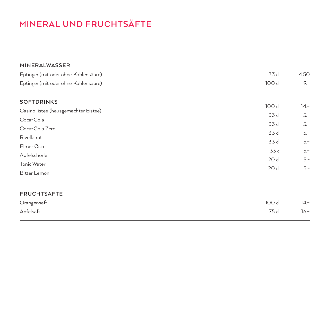# **MINERAL UND FRUCHTSÄFTE**

| MINERALWASSER                                                                |                 |                 |
|------------------------------------------------------------------------------|-----------------|-----------------|
| Eptinger (mit oder ohne Kohlensäure)<br>Eptinger (mit oder ohne Kohlensäure) | 33 cl           | 4.50            |
|                                                                              | 100 cl          | $9 -$           |
| <b>SOFTDRINKS</b>                                                            |                 |                 |
| Casino iistee (hausgemachter Eistee)                                         | 100 cl<br>33 cl | $14 -$<br>$5 -$ |
| Coca-Cola                                                                    |                 |                 |
| Coca-Cola Zero                                                               | 33 cl           | $5 -$           |
| Rivella rot                                                                  | 33 cl           | $5 -$           |
| Elmer Citro                                                                  | 33 cl           | $5 -$           |
| Apfelschorle                                                                 | 33c             | $5 -$           |
| Tonic Water                                                                  | 20 cl           | $5 -$           |
| Bitter Lemon                                                                 | 20 cl           | $5 -$           |
| <b>FRUCHTSÄFTE</b>                                                           |                 |                 |
| Orangensaft                                                                  | 100 cl          | $14 -$          |
| Apfelsaft                                                                    | 75 cl           | $16 -$          |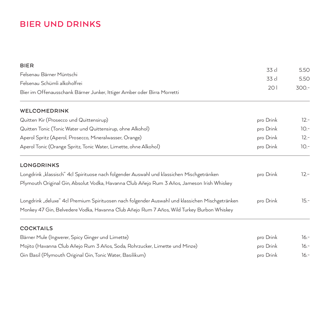## **BIER UND DRINKS**

| <b>BIER</b>                                                                                                                                                                                  |           |         |
|----------------------------------------------------------------------------------------------------------------------------------------------------------------------------------------------|-----------|---------|
| Felsenau Bärner Müntschi                                                                                                                                                                     | 33 cl     | 5.50    |
| Felsenau Schümli alkoholfrei                                                                                                                                                                 | 33 cl     | 5.50    |
| Bier im Offenausschank Bärner Junker, Ittiger Amber oder Birra Morretti                                                                                                                      | 201       | $300 -$ |
| WELCOMEDRINK                                                                                                                                                                                 |           |         |
| Quitten Kir (Prosecco und Quittensirup)                                                                                                                                                      | pro Drink | $12 -$  |
| Quitten Tonic (Tonic Water und Quittensirup, ohne Alkohol)                                                                                                                                   | pro Drink | $10. -$ |
| Aperol Spritz (Aperol, Prosecco, Mineralwasser, Orange)                                                                                                                                      | pro Drink | $12 -$  |
| Aperol Tonic (Orange Spritz, Tonic Water, Limette, ohne Alkohol)                                                                                                                             | pro Drink | $10.-$  |
| <b>LONGDRINKS</b>                                                                                                                                                                            |           |         |
| Longdrink "klassisch" 4cl Spirituose nach folgender Auswahl und klassichen Mischgetränken                                                                                                    | pro Drink | $12 -$  |
| Plymouth Original Gin, Absolut Vodka, Havanna Club Añejo Rum 3 Años, Jameson Irish Whiskey                                                                                                   |           |         |
| Longdrink "deluxe" 4cl Premium Spirituosen nach folgender Auswahl und klassichen Mischgetränken<br>Monkey 47 Gin, Belvedere Vodka, Havanna Club Añejo Rum 7 Años, Wild Turkey Burbon Whiskey | pro Drink | $15. -$ |
| <b>COCKTAILS</b>                                                                                                                                                                             |           |         |
| Bärner Mule (Ingwerer, Spicy Ginger und Limette)                                                                                                                                             | pro Drink | $16. -$ |
| Mojito (Havanna Club Añejo Rum 3 Años, Soda, Rohrzucker, Limette und Minze)                                                                                                                  | pro Drink | $16. -$ |
| Gin Basil (Plymouth Original Gin, Tonic Water, Basilikum)                                                                                                                                    | pro Drink | $16. -$ |